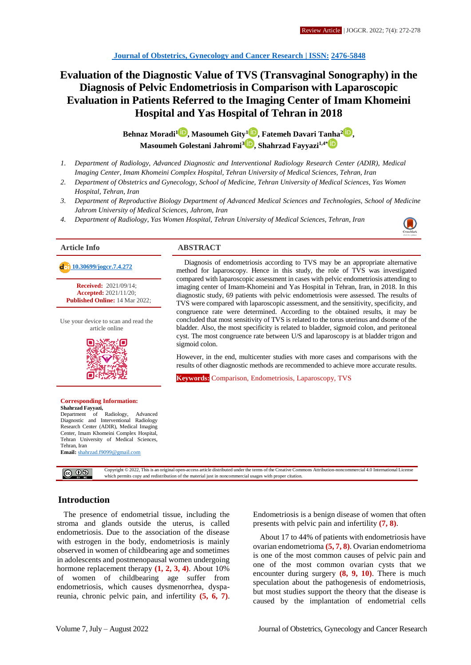# **Evaluation of the Diagnostic Value of TVS (Transvaginal Sonography) in the Diagnosis of Pelvic Endometriosis in Comparison with Laparoscopic Evaluation in Patients Referred to the Imaging Center of Imam Khomeini Hospital and Yas Hospital of Tehran in 2018**

**Behnaz Moradi[1](http://orcid.org/0000000230633517) , Masoumeh Gity<sup>1</sup> [,](http://orcid.org/0000000230564080) Fatemeh Davari Tanha<sup>2</sup> [,](http://orcid.org/0000000294656371) Masoumeh Golestani Jahromi[3](http://orcid.org/0000000184028577) , Shahrzad Fayyazi1,4\***

- *1. Department of Radiology, Advanced Diagnostic and Interventional Radiology Research Center (ADIR), Medical Imaging Center, Imam Khomeini Complex Hospital, Tehran University of Medical Sciences, Tehran, Iran*
- *2. Department of Obstetrics and Gynecology, School of Medicine, Tehran University of Medical Sciences, Yas Women Hospital, Tehran, Iran*
- *3. Department of Reproductive Biology Department of Advanced Medical Sciences and Technologies, School of Medicine Jahrom University of Medical Sciences, Jahrom, Iran*
- *4. Department of Radiology, Yas Women Hospital, Tehran University of Medical Sciences, Tehran, Iran*



**Received:** 2021/09/14; **Accepted:** 2021/11/20; **Published Online:** 14 Mar 2022;

Use your device to scan and read the article online



#### **Corresponding Information: Shahrzad Fayyazi,** Department of Radiology, Advanced

Diagnostic and Interventional Radiology Research Center (ADIR), Medical Imaging Center, Imam Khomeini Complex Hospital, Tehran University of Medical Sciences, Tehran, Iran **Email:** [shahrzad.f9099@gmail.com](mailto:shahrzad.f9099@gmail.com)

**Article Info ABSTRACT**

**[10.30699/jogcr.7.4.272](http://dx.doi.org/10.30699/jogcr.7.4.272)** Diagnosis of endometriosis according to TVS may be an appropriate alternative contract and the contract of the contract of the contract of the contract of the contract of the contract of the contra method for laparoscopy. Hence in this study, the role of TVS was investigated compared with laparoscopic assessment in cases with pelvic endometriosis attending to imaging center of Imam-Khomeini and Yas Hospital in Tehran, Iran, in 2018. In this diagnostic study, 69 patients with pelvic endometriosis were assessed. The results of TVS were compared with laparoscopic assessment, and the sensitivity, specificity, and congruence rate were determined. According to the obtained results, it may be concluded that most sensitivity of TVS is related to the torus uterinus and dsome of the bladder. Also, the most specificity is related to bladder, sigmoid colon, and peritoneal cyst. The most congruence rate between U/S and laparoscopy is at bladder trigon and sigmoid colon.

> However, in the end, multicenter studies with more cases and comparisons with the results of other diagnostic methods are recommended to achieve more accurate results.

**Keywords:** Comparison, Endometriosis, Laparoscopy, TVS

Copyright © 2022, This is an original open-access article distributed under the terms of the Creative Commons Attribution-noncommercial 4.0 International Licens  $\circledcirc$   $\circledcirc$ which permits copy and redistribution of the material just in noncommercial usages with proper citation.

# **Introduction**

The presence of endometrial tissue, including the stroma and glands outside the uterus, is called endometriosis. Due to the association of the disease with estrogen in the body, endometriosis is mainly observed in women of childbearing age and sometimes in adolescents and postmenopausal women undergoing hormone replacement therapy **(1, 2, 3, 4)**. About 10% of women of childbearing age suffer from endometriosis, which causes dysmenorrhea, dyspareunia, chronic pelvic pain, and infertility **(5, 6, 7)**. Endometriosis is a benign disease of women that often presents with pelvic pain and infertility **(7, 8)**.

About 17 to 44% of patients with endometriosis have ovarian endometrioma **(5, 7, 8)**. Ovarian endometrioma is one of the most common causes of pelvic pain and one of the most common ovarian cysts that we encounter during surgery **(8, 9, 10)**. There is much speculation about the pathogenesis of endometriosis, but most studies support the theory that the disease is caused by the implantation of endometrial cells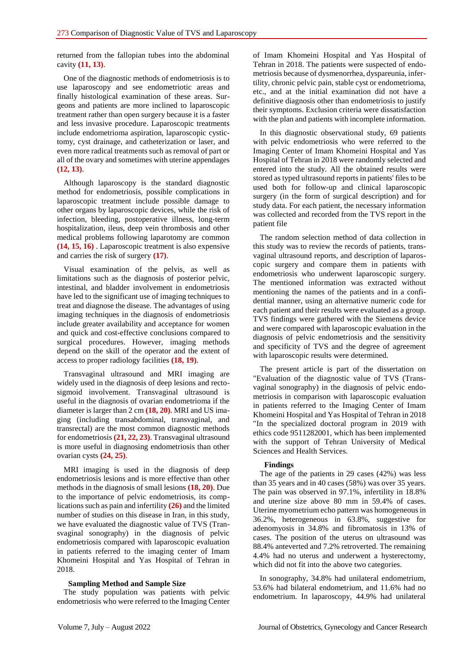returned from the fallopian tubes into the abdominal cavity **(11, 13)**.

One of the diagnostic methods of endometriosis is to use laparoscopy and see endometriotic areas and finally histological examination of these areas. Surgeons and patients are more inclined to laparoscopic treatment rather than open surgery because it is a faster and less invasive procedure. Laparoscopic treatments include endometrioma aspiration, laparoscopic cystictomy, cyst drainage, and catheterization or laser, and even more radical treatments such as removal of part or all of the ovary and sometimes with uterine appendages **(12, 13)**.

Although laparoscopy is the standard diagnostic method for endometriosis, possible complications in laparoscopic treatment include possible damage to other organs by laparoscopic devices, while the risk of infection, bleeding, postoperative illness, long-term hospitalization, ileus, deep vein thrombosis and other medical problems following laparotomy are common **(14, 15, 16)** . Laparoscopic treatment is also expensive and carries the risk of surgery **(17)**.

Visual examination of the pelvis, as well as limitations such as the diagnosis of posterior pelvic, intestinal, and bladder involvement in endometriosis have led to the significant use of imaging techniques to treat and diagnose the disease. The advantages of using imaging techniques in the diagnosis of endometriosis include greater availability and acceptance for women and quick and cost-effective conclusions compared to surgical procedures. However, imaging methods depend on the skill of the operator and the extent of access to proper radiology facilities **(18, 19)**.

Transvaginal ultrasound and MRI imaging are widely used in the diagnosis of deep lesions and rectosigmoid involvement. Transvaginal ultrasound is useful in the diagnosis of ovarian endometrioma if the diameter is larger than 2 cm **(18, 20)**. MRI and US imaging (including transabdominal, transvaginal, and transrectal) are the most common diagnostic methods for endometriosis **(21, 22, 23)**. Transvaginal ultrasound is more useful in diagnosing endometriosis than other ovarian cysts **(24, 25)**.

MRI imaging is used in the diagnosis of deep endometriosis lesions and is more effective than other methods in the diagnosis of small lesions **(18, 20)**. Due to the importance of pelvic endometriosis, its complications such as pain and infertility **(26)** and the limited number of studies on this disease in Iran, in this study, we have evaluated the diagnostic value of TVS (Transvaginal sonography) in the diagnosis of pelvic endometriosis compared with laparoscopic evaluation in patients referred to the imaging center of Imam Khomeini Hospital and Yas Hospital of Tehran in 2018.

### **Sampling Method and Sample Size**

The study population was patients with pelvic endometriosis who were referred to the Imaging Center of Imam Khomeini Hospital and Yas Hospital of Tehran in 2018. The patients were suspected of endometriosis because of dysmenorrhea, dyspareunia, infertility, chronic pelvic pain, stable cyst or endometrioma, etc., and at the initial examination did not have a definitive diagnosis other than endometriosis to justify their symptoms. Exclusion criteria were dissatisfaction with the plan and patients with incomplete information.

In this diagnostic observational study, 69 patients with pelvic endometriosis who were referred to the Imaging Center of Imam Khomeini Hospital and Yas Hospital of Tehran in 2018 were randomly selected and entered into the study. All the obtained results were stored as typed ultrasound reports in patients' files to be used both for follow-up and clinical laparoscopic surgery (in the form of surgical description) and for study data. For each patient, the necessary information was collected and recorded from the TVS report in the patient file

The random selection method of data collection in this study was to review the records of patients, transvaginal ultrasound reports, and description of laparoscopic surgery and compare them in patients with endometriosis who underwent laparoscopic surgery. The mentioned information was extracted without mentioning the names of the patients and in a confidential manner, using an alternative numeric code for each patient and their results were evaluated as a group. TVS findings were gathered with the Siemens device and were compared with laparoscopic evaluation in the diagnosis of pelvic endometriosis and the sensitivity and specificity of TVS and the degree of agreement with laparoscopic results were determined.

The present article is part of the dissertation on "Evaluation of the diagnostic value of TVS (Transvaginal sonography) in the diagnosis of pelvic endometriosis in comparison with laparoscopic evaluation in patients referred to the Imaging Center of Imam Khomeini Hospital and Yas Hospital of Tehran in 2018 "In the specialized doctoral program in 2019 with ethics code 9511282001, which has been implemented with the support of Tehran University of Medical Sciences and Health Services.

#### **Findings**

The age of the patients in 29 cases (42%) was less than 35 years and in 40 cases (58%) was over 35 years. The pain was observed in 97.1%, infertility in 18.8% and uterine size above 80 mm in 59.4% of cases. Uterine myometrium echo pattern was homogeneous in 36.2%, heterogeneous in 63.8%, suggestive for adenomyosis in 34.8% and fibromatosis in 13% of cases. The position of the uterus on ultrasound was 88.4% anteverted and 7.2% retroverted. The remaining 4.4% had no uterus and underwent a hysterectomy, which did not fit into the above two categories.

In sonography, 34.8% had unilateral endometrium, 53.6% had bilateral endometrium, and 11.6% had no endometrium. In laparoscopy, 44.9% had unilateral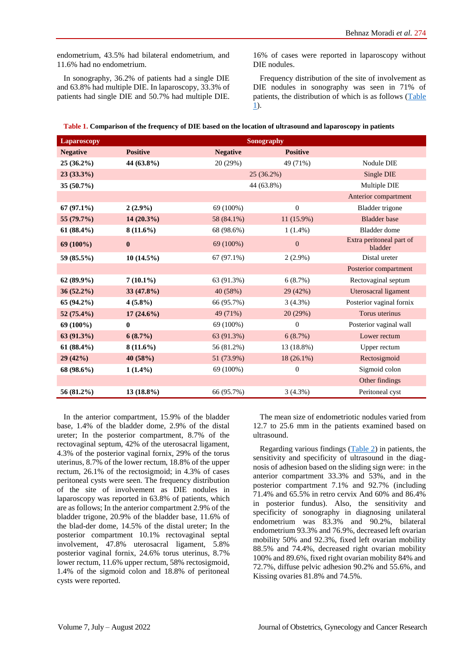endometrium, 43.5% had bilateral endometrium, and 11.6% had no endometrium.

In sonography, 36.2% of patients had a single DIE and 63.8% had multiple DIE. In laparoscopy, 33.3% of patients had single DIE and 50.7% had multiple DIE. 16% of cases were reported in laparoscopy without DIE nodules.

Frequency distribution of the site of involvement as DIE nodules in sonography was seen in 71% of patients, the distribution of which is as follows [\(Table](#page-2-0) [1\)](#page-2-0).

<span id="page-2-0"></span>

|  | Table 1. Comparison of the frequency of DIE based on the location of ultrasound and laparoscopy in patients |  |  |
|--|-------------------------------------------------------------------------------------------------------------|--|--|
|--|-------------------------------------------------------------------------------------------------------------|--|--|

| <b>Laparoscopy</b> | Sonography      |                 |                  |                                     |
|--------------------|-----------------|-----------------|------------------|-------------------------------------|
| <b>Negative</b>    | <b>Positive</b> | <b>Negative</b> | <b>Positive</b>  |                                     |
| $25(36.2\%)$       | 44 (63.8%)      | 20 (29%)        | 49 (71%)         | Nodule DIE                          |
| $23(33.3\%)$       |                 |                 | $25(36.2\%)$     | Single DIE                          |
| $35(50.7\%)$       |                 |                 | 44 (63.8%)       | Multiple DIE                        |
|                    |                 |                 |                  | Anterior compartment                |
| $67(97.1\%)$       | $2(2.9\%)$      | 69 (100%)       | $\mathbf{0}$     | Bladder trigone                     |
| 55 (79.7%)         | 14 (20.3%)      | 58 (84.1%)      | 11 (15.9%)       | <b>Bladder</b> base                 |
| $61(88.4\%)$       | $8(11.6\%)$     | 68 (98.6%)      | $1(1.4\%)$       | Bladder dome                        |
| 69 (100%)          | $\bf{0}$        | 69 (100%)       | $\mathbf{0}$     | Extra peritoneal part of<br>bladder |
| 59 (85.5%)         | $10(14.5\%)$    | $67(97.1\%)$    | $2(2.9\%)$       | Distal ureter                       |
|                    |                 |                 |                  | Posterior compartment               |
| $62(89.9\%)$       | $7(10.1\%)$     | 63 (91.3%)      | 6(8.7%)          | Rectovaginal septum                 |
| $36(52.2\%)$       | 33 (47.8%)      | 40 (58%)        | 29 (42%)         | Uterosacral ligament                |
| 65 (94.2%)         | $4(5.8\%)$      | 66 (95.7%)      | $3(4.3\%)$       | Posterior vaginal fornix            |
| 52 $(75.4\%)$      | $17(24.6\%)$    | 49 (71%)        | 20 (29%)         | Torus uterinus                      |
| 69 (100%)          | $\mathbf{0}$    | 69 (100%)       | $\Omega$         | Posterior vaginal wall              |
| 63(91.3%)          | $6(8.7\%)$      | 63 (91.3%)      | 6(8.7%)          | Lower rectum                        |
| $61 (88.4\%)$      | $8(11.6\%)$     | 56 (81.2%)      | 13 (18.8%)       | Upper rectum                        |
| 29(42%)            | 40(58%)         | 51 (73.9%)      | $18(26.1\%)$     | Rectosigmoid                        |
| 68 (98.6%)         | $1(1.4\%)$      | 69 (100%)       | $\boldsymbol{0}$ | Sigmoid colon                       |
|                    |                 |                 |                  | Other findings                      |
| 56 (81.2%)         | $13(18.8\%)$    | 66 (95.7%)      | 3(4.3%)          | Peritoneal cyst                     |

In the anterior compartment, 15.9% of the bladder base, 1.4% of the bladder dome, 2.9% of the distal ureter; In the posterior compartment, 8.7% of the rectovaginal septum, 42% of the uterosacral ligament, 4.3% of the posterior vaginal fornix, 29% of the torus uterinus, 8.7% of the lower rectum, 18.8% of the upper rectum, 26.1% of the rectosigmoid; in 4.3% of cases peritoneal cysts were seen. The frequency distribution of the site of involvement as DIE nodules in laparoscopy was reported in 63.8% of patients, which are as follows; In the anterior compartment 2.9% of the bladder trigone, 20.9% of the bladder base, 11.6% of the blad-der dome, 14.5% of the distal ureter; In the posterior compartment 10.1% rectovaginal septal involvement, 47.8% uterosacral ligament, 5.8% posterior vaginal fornix, 24.6% torus uterinus, 8.7% lower rectum, 11.6% upper rectum, 58% rectosigmoid, 1.4% of the sigmoid colon and 18.8% of peritoneal cysts were reported.

The mean size of endometriotic nodules varied from 12.7 to 25.6 mm in the patients examined based on ultrasound.

Regarding various findings [\(Table](#page-3-0) 2) in patients, the sensitivity and specificity of ultrasound in the diagnosis of adhesion based on the sliding sign were: in the anterior compartment 33.3% and 53%, and in the posterior compartment 7.1% and 92.7% (including 71.4% and 65.5% in retro cervix And 60% and 86.4% in posterior fundus). Also, the sensitivity and specificity of sonography in diagnosing unilateral endometrium was 83.3% and 90.2%, bilateral endometrium 93.3% and 76.9%, decreased left ovarian mobility 50% and 92.3%, fixed left ovarian mobility 88.5% and 74.4%, decreased right ovarian mobility 100% and 89.6%, fixed right ovarian mobility 84% and 72.7%, diffuse pelvic adhesion 90.2% and 55.6%, and Kissing ovaries 81.8% and 74.5%.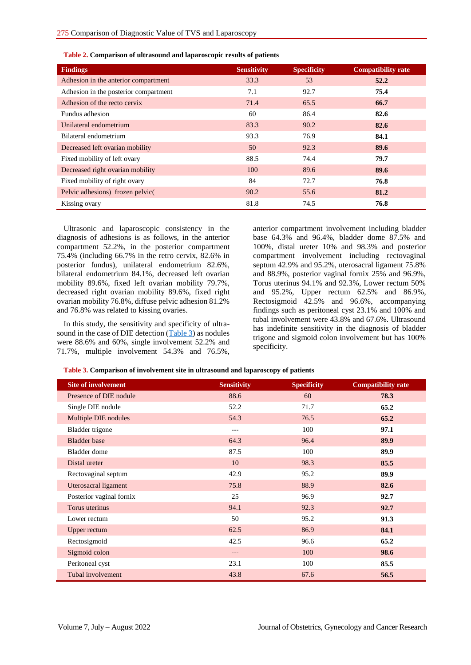| <b>Findings</b>                       | <b>Sensitivity</b> | <b>Specificity</b> | <b>Compatibility rate</b> |
|---------------------------------------|--------------------|--------------------|---------------------------|
| Adhesion in the anterior compartment  | 33.3               | 53                 | 52.2                      |
| Adhesion in the posterior compartment | 7.1                | 92.7               | 75.4                      |
| Adhesion of the recto cervix          | 71.4               | 65.5               | 66.7                      |
| Fundus adhesion                       | 60                 | 86.4               | 82.6                      |
| Unilateral endometrium                | 83.3               | 90.2               | 82.6                      |
| Bilateral endometrium                 | 93.3               | 76.9               | 84.1                      |
| Decreased left ovarian mobility       | 50                 | 92.3               | 89.6                      |
| Fixed mobility of left ovary          | 88.5               | 74.4               | 79.7                      |
| Decreased right ovarian mobility      | 100                | 89.6               | 89.6                      |
| Fixed mobility of right ovary         | 84                 | 72.7               | 76.8                      |
| Pelvic adhesions) frozen pelvic(      | 90.2               | 55.6               | 81.2                      |
| Kissing ovary                         | 81.8               | 74.5               | 76.8                      |

<span id="page-3-0"></span>**Table 2. Comparison of ultrasound and laparoscopic results of patients**

Ultrasonic and laparoscopic consistency in the diagnosis of adhesions is as follows, in the anterior compartment 52.2%, in the posterior compartment 75.4% (including 66.7% in the retro cervix, 82.6% in posterior fundus), unilateral endometrium 82.6%, bilateral endometrium 84.1%, decreased left ovarian mobility 89.6%, fixed left ovarian mobility 79.7%, decreased right ovarian mobility 89.6%, fixed right ovarian mobility 76.8%, diffuse pelvic adhesion 81.2% and 76.8% was related to kissing ovaries.

In this study, the sensitivity and specificity of ultrasound in the case of DIE detection [\(Table](#page-3-1) 3) as nodules were 88.6% and 60%, single involvement 52.2% and 71.7%, multiple involvement 54.3% and 76.5%, anterior compartment involvement including bladder base 64.3% and 96.4%, bladder dome 87.5% and 100%, distal ureter 10% and 98.3% and posterior compartment involvement including rectovaginal septum 42.9% and 95.2%, uterosacral ligament 75.8% and 88.9%, posterior vaginal fornix 25% and 96.9%, Torus uterinus 94.1% and 92.3%, Lower rectum 50% and 95.2%, Upper rectum 62.5% and 86.9%, Rectosigmoid 42.5% and 96.6%, accompanying findings such as peritoneal cyst 23.1% and 100% and tubal involvement were 43.8% and 67.6%. Ultrasound has indefinite sensitivity in the diagnosis of bladder trigone and sigmoid colon involvement but has 100% specificity.

<span id="page-3-1"></span>

| <b>Site of involvement</b> | <b>Sensitivity</b> | <b>Specificity</b> | <b>Compatibility rate</b> |
|----------------------------|--------------------|--------------------|---------------------------|
| Presence of DIE nodule     | 88.6               | 60                 | 78.3                      |
| Single DIE nodule          | 52.2               | 71.7               | 65.2                      |
| Multiple DIE nodules       | 54.3               | 76.5               | 65.2                      |
| Bladder trigone            | ---                | 100                | 97.1                      |
| <b>Bladder</b> base        | 64.3               | 96.4               | 89.9                      |
| Bladder dome               | 87.5               | 100                | 89.9                      |
| Distal ureter              | 10                 | 98.3               | 85.5                      |
| Rectovaginal septum        | 42.9               | 95.2               | 89.9                      |
| Uterosacral ligament       | 75.8               | 88.9               | 82.6                      |
| Posterior vaginal fornix   | 25                 | 96.9               | 92.7                      |
| Torus uterinus             | 94.1               | 92.3               | 92.7                      |
| Lower rectum               | 50                 | 95.2               | 91.3                      |
| Upper rectum               | 62.5               | 86.9               | 84.1                      |
| Rectosigmoid               | 42.5               | 96.6               | 65.2                      |
| Sigmoid colon              | ---                | 100                | 98.6                      |
| Peritoneal cyst            | 23.1               | 100                | 85.5                      |
| Tubal involvement          | 43.8               | 67.6               | 56.5                      |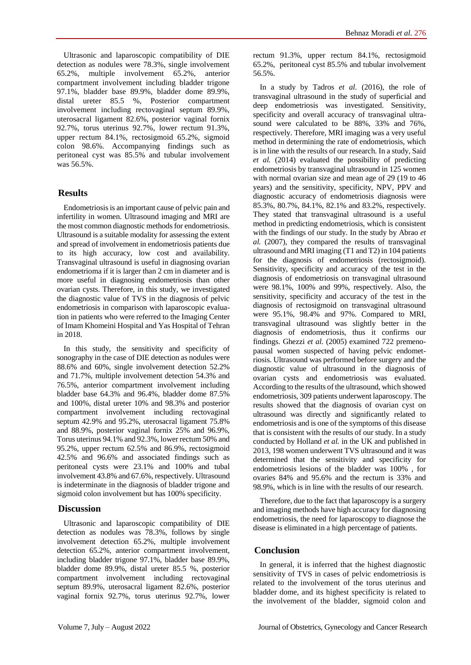Ultrasonic and laparoscopic compatibility of DIE detection as nodules were 78.3%, single involvement 65.2%, multiple involvement 65.2%, anterior compartment involvement including bladder trigone 97.1%, bladder base 89.9%, bladder dome 89.9%, distal ureter 85.5 %, Posterior compartment involvement including rectovaginal septum 89.9%, uterosacral ligament 82.6%, posterior vaginal fornix 92.7%, torus uterinus 92.7%, lower rectum 91.3%, upper rectum 84.1%, rectosigmoid 65.2%, sigmoid colon 98.6%. Accompanying findings such as peritoneal cyst was 85.5% and tubular involvement was 56.5%.

# **Results**

Endometriosis is an important cause of pelvic pain and infertility in women. Ultrasound imaging and MRI are the most common diagnostic methods for endometriosis. Ultrasound is a suitable modality for assessing the extent and spread of involvement in endometriosis patients due to its high accuracy, low cost and availability. Transvaginal ultrasound is useful in diagnosing ovarian endometrioma if it is larger than 2 cm in diameter and is more useful in diagnosing endometriosis than other ovarian cysts. Therefore, in this study, we investigated the diagnostic value of TVS in the diagnosis of pelvic endometriosis in comparison with laparoscopic evaluation in patients who were referred to the Imaging Center of Imam Khomeini Hospital and Yas Hospital of Tehran in 2018.

In this study, the sensitivity and specificity of sonography in the case of DIE detection as nodules were 88.6% and 60%, single involvement detection 52.2% and 71.7%, multiple involvement detection 54.3% and 76.5%, anterior compartment involvement including bladder base 64.3% and 96.4%, bladder dome 87.5% and 100%, distal ureter 10% and 98.3% and posterior compartment involvement including rectovaginal septum 42.9% and 95.2%, uterosacral ligament 75.8% and 88.9%, posterior vaginal fornix 25% and 96.9%, Torus uterinus 94.1% and 92.3%, lower rectum 50% and 95.2%, upper rectum 62.5% and 86.9%, rectosigmoid 42.5% and 96.6% and associated findings such as peritoneal cysts were 23.1% and 100% and tubal involvement 43.8% and 67.6%, respectively. Ultrasound is indeterminate in the diagnosis of bladder trigone and sigmoid colon involvement but has 100% specificity.

# **Discussion**

Ultrasonic and laparoscopic compatibility of DIE detection as nodules was 78.3%, follows by single involvement detection 65.2%, multiple involvement detection 65.2%, anterior compartment involvement, including bladder trigone 97.1%, bladder base 89.9%, bladder dome 89.9%, distal ureter 85.5 %, posterior compartment involvement including rectovaginal septum 89.9%, uterosacral ligament 82.6%, posterior vaginal fornix 92.7%, torus uterinus 92.7%, lower rectum 91.3%, upper rectum 84.1%, rectosigmoid 65.2%, peritoneal cyst 85.5% and tubular involvement 56.5%.

In a study by Tadros *et al.* (2016), the role of transvaginal ultrasound in the study of superficial and deep endometriosis was investigated. Sensitivity, specificity and overall accuracy of transvaginal ultrasound were calculated to be 88%, 33% and 76%, respectively. Therefore, MRI imaging was a very useful method in determining the rate of endometriosis, which is in line with the results of our research. In a study, Said *et al.* (2014) evaluated the possibility of predicting endometriosis by transvaginal ultrasound in 125 women with normal ovarian size and mean age of 29 (19 to 46 years) and the sensitivity, specificity, NPV, PPV and diagnostic accuracy of endometriosis diagnosis were 85.3%, 80.7%, 84.1%, 82.1% and 83.2%, respectively. They stated that transvaginal ultrasound is a useful method in predicting endometriosis, which is consistent with the findings of our study. In the study by Abrao *et al.* (2007), they compared the results of transvaginal ultrasound and MRI imaging (T1 and T2) in 104 patients for the diagnosis of endometriosis (rectosigmoid). Sensitivity, specificity and accuracy of the test in the diagnosis of endometriosis on transvaginal ultrasound were 98.1%, 100% and 99%, respectively. Also, the sensitivity, specificity and accuracy of the test in the diagnosis of rectosigmoid on transvaginal ultrasound were 95.1%, 98.4% and 97%. Compared to MRI, transvaginal ultrasound was slightly better in the diagnosis of endometriosis, thus it confirms our findings. Ghezzi *et al.* (2005) examined 722 premenopausal women suspected of having pelvic endometriosis. Ultrasound was performed before surgery and the diagnostic value of ultrasound in the diagnosis of ovarian cysts and endometriosis was evaluated. According to the results of the ultrasound, which showed endometriosis, 309 patients underwent laparoscopy. The results showed that the diagnosis of ovarian cyst on ultrasound was directly and significantly related to endometriosis and is one of the symptoms of this disease that is consistent with the results of our study. In a study conducted by Holland *et al.* in the UK and published in 2013, 198 women underwent TVS ultrasound and it was determined that the sensitivity and specificity for endometriosis lesions of the bladder was 100% , for ovaries 84% and 95.6% and the rectum is 33% and 98.9%, which is in line with the results of our research.

Therefore, due to the fact that laparoscopy is a surgery and imaging methods have high accuracy for diagnosing endometriosis, the need for laparoscopy to diagnose the disease is eliminated in a high percentage of patients.

# **Conclusion**

In general, it is inferred that the highest diagnostic sensitivity of TVS in cases of pelvic endometriosis is related to the involvement of the torus uterinus and bladder dome, and its highest specificity is related to the involvement of the bladder, sigmoid colon and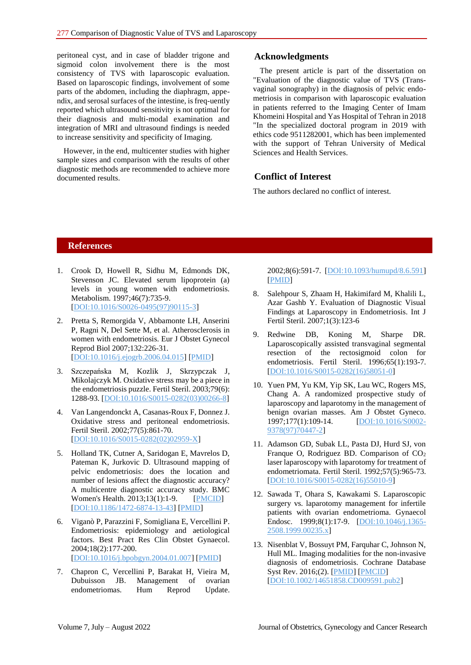peritoneal cyst, and in case of bladder trigone and sigmoid colon involvement there is the most consistency of TVS with laparoscopic evaluation. Based on laparoscopic findings, involvement of some parts of the abdomen, including the diaphragm, appendix, and serosal surfaces of the intestine, is freq-uently reported which ultrasound sensitivity is not optimal for their diagnosis and multi-modal examination and integration of MRI and ultrasound findings is needed to increase sensitivity and specificity of Imaging.

However, in the end, multicenter studies with higher sample sizes and comparison with the results of other diagnostic methods are recommended to achieve more documented results.

#### **Acknowledgments**

The present article is part of the dissertation on "Evaluation of the diagnostic value of TVS (Transvaginal sonography) in the diagnosis of pelvic endometriosis in comparison with laparoscopic evaluation in patients referred to the Imaging Center of Imam Khomeini Hospital and Yas Hospital of Tehran in 2018 "In the specialized doctoral program in 2019 with ethics code 9511282001, which has been implemented with the support of Tehran University of Medical Sciences and Health Services.

### **Conflict of Interest**

The authors declared no conflict of interest.

#### **References**

- 1. Crook D, Howell R, Sidhu M, Edmonds DK, Stevenson JC. Elevated serum lipoprotein (a) levels in young women with endometriosis. Metabolism. 1997;46(7):735-9. [\[DOI:10.1016/S0026-0495\(97\)90115-3\]](https://doi.org/10.1016/S0026-0495(97)90115-3)
- 2. Pretta S, Remorgida V, Abbamonte LH, Anserini P, Ragni N, Del Sette M, et al. Atherosclerosis in women with endometriosis. Eur J Obstet Gynecol Reprod Biol 2007;132:226-31. [\[DOI:10.1016/j.ejogrb.2006.04.015\]](https://doi.org/10.1016/j.ejogrb.2006.04.015) [\[PMID\]](https://www.ncbi.nlm.nih.gov/pubmed/16682112)
- 3. Szczepańska M, Kozlik J, Skrzypczak J, Mikolajczyk M. Oxidative stress may be a piece in the endometriosis puzzle. Fertil Steril. 2003;79(6): 1288-93. [\[DOI:10.1016/S0015-0282\(03\)00266-8\]](https://doi.org/10.1016/S0015-0282(03)00266-8)
- 4. Van Langendonckt A, Casanas-Roux F, Donnez J. Oxidative stress and peritoneal endometriosis. Fertil Steril. 2002;77(5):861-70. [\[DOI:10.1016/S0015-0282\(02\)02959-X\]](https://doi.org/10.1016/S0015-0282(02)02959-X)
- 5. Holland TK, Cutner A, Saridogan E, Mavrelos D, Pateman K, Jurkovic D. Ultrasound mapping of pelvic endometriosis: does the location and number of lesions affect the diagnostic accuracy? A multicentre diagnostic accuracy study. BMC Women's Health. 2013;13(1):1-9. [\[PMCID\]](http://www.ncbi.nlm.nih.gov/pmc/articles/PMC3815071) [\[DOI:10.1186/1472-6874-13-43\]](https://doi.org/10.1186/1472-6874-13-43) [\[PMID\]](https://www.ncbi.nlm.nih.gov/pubmed/24165087)
- 6. Viganò P, Parazzini F, Somigliana E, Vercellini P. Endometriosis: epidemiology and aetiological factors. Best Pract Res Clin Obstet Gynaecol. 2004;18(2):177-200.

[\[DOI:10.1016/j.bpobgyn.2004.01.007\]](https://doi.org/10.1016/j.bpobgyn.2004.01.007) [\[PMID\]](https://www.ncbi.nlm.nih.gov/pubmed/15157637)

7. Chapron C, Vercellini P, Barakat H, Vieira M, Dubuisson JB. Management of ovarian endometriomas. Hum Reprod Update. 2002;8(6):591-7. [\[DOI:10.1093/humupd/8.6.591\]](https://doi.org/10.1093/humupd/8.6.591) [\[PMID\]](https://www.ncbi.nlm.nih.gov/pubmed/12498427)

- 8. Salehpour S, Zhaam H, Hakimifard M, Khalili L, Azar Gashb Y. Evaluation of Diagnostic Visual Findings at Laparoscopy in Endometriosis. Int J Fertil Steril. 2007;1(3):123-6
- 9. Redwine DB, Koning M, Sharpe DR. Laparoscopically assisted transvaginal segmental resection of the rectosigmoid colon for endometriosis. Fertil Steril. 1996;65(1):193-7. [\[DOI:10.1016/S0015-0282\(16\)58051-0\]](https://doi.org/10.1016/S0015-0282(16)58051-0)
- 10. Yuen PM, Yu KM, Yip SK, Lau WC, Rogers MS, Chang A. A randomized prospective study of laparoscopy and laparotomy in the management of benign ovarian masses. Am J Obstet Gyneco. 1997;177(1):109-14. [\[DOI:10.1016/S0002-](https://doi.org/10.1016/S0002-9378(97)70447-2) [9378\(97\)70447-2\]](https://doi.org/10.1016/S0002-9378(97)70447-2)
- 11. Adamson GD, Subak LL, Pasta DJ, Hurd SJ, von Franque O, Rodriguez BD. Comparison of CO<sup>2</sup> laser laparoscopy with laparotomy for treatment of endometriomata. Fertil Steril. 1992;57(5):965-73. [\[DOI:10.1016/S0015-0282\(16\)55010-9\]](https://doi.org/10.1016/S0015-0282(16)55010-9)
- 12. Sawada T, Ohara S, Kawakami S. Laparoscopic surgery vs. laparotomy management for infertile patients with ovarian endometrioma. Gynaecol Endosc. 1999;8(1):17-9. [\[DOI:10.1046/j.1365-](https://doi.org/10.1046/j.1365-2508.1999.00235.x) [2508.1999.00235.x\]](https://doi.org/10.1046/j.1365-2508.1999.00235.x)
- 13. Nisenblat V, Bossuyt PM, Farquhar C, Johnson N, Hull ML. Imaging modalities for the non-invasive diagnosis of endometriosis. Cochrane Database Syst Rev. 2016;(2). [\[PMID\]](https://www.ncbi.nlm.nih.gov/pubmed/26919512) [\[PMCID\]](http://www.ncbi.nlm.nih.gov/pmc/articles/PMC7100540) [\[DOI:10.1002/14651858.CD009591.pub2\]](https://doi.org/10.1002/14651858.CD009591.pub2)